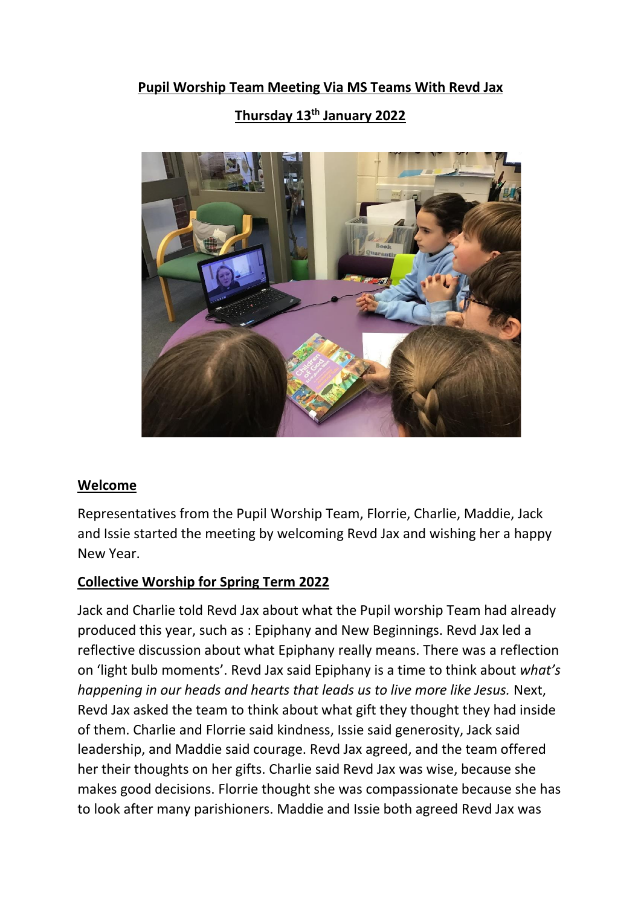### **Pupil Worship Team Meeting Via MS Teams With Revd Jax**

# **Thursday 13th January 2022**



#### **Welcome**

Representatives from the Pupil Worship Team, Florrie, Charlie, Maddie, Jack and Issie started the meeting by welcoming Revd Jax and wishing her a happy New Year.

### **Collective Worship for Spring Term 2022**

Jack and Charlie told Revd Jax about what the Pupil worship Team had already produced this year, such as : Epiphany and New Beginnings. Revd Jax led a reflective discussion about what Epiphany really means. There was a reflection on 'light bulb moments'. Revd Jax said Epiphany is a time to think about *what's happening in our heads and hearts that leads us to live more like Jesus.* Next, Revd Jax asked the team to think about what gift they thought they had inside of them. Charlie and Florrie said kindness, Issie said generosity, Jack said leadership, and Maddie said courage. Revd Jax agreed, and the team offered her their thoughts on her gifts. Charlie said Revd Jax was wise, because she makes good decisions. Florrie thought she was compassionate because she has to look after many parishioners. Maddie and Issie both agreed Revd Jax was